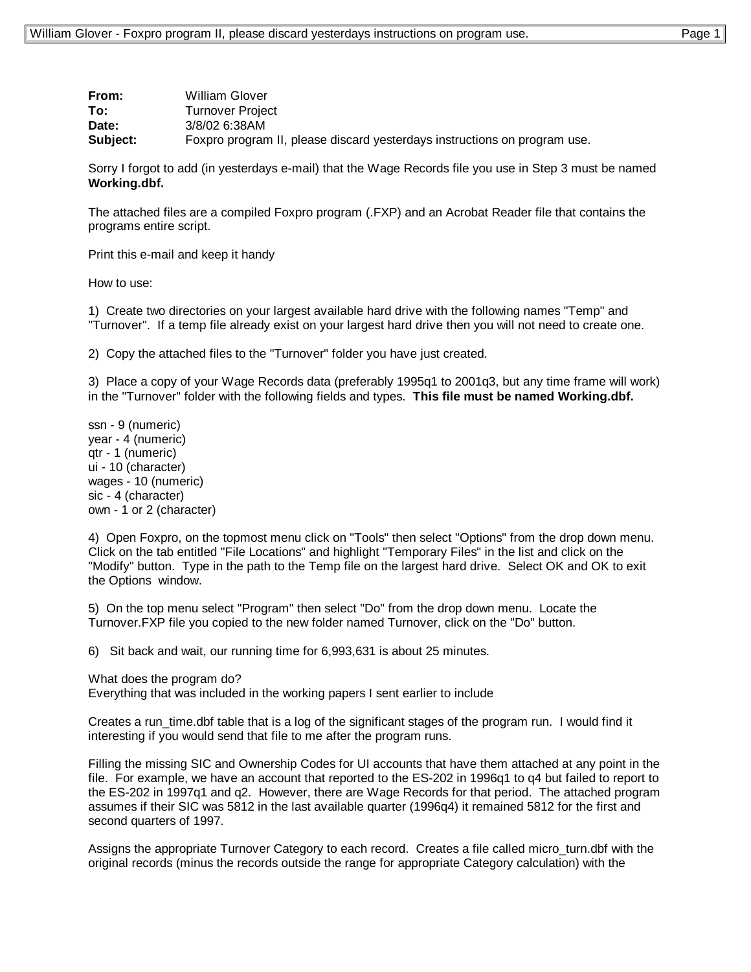| From:    | William Glover                                                            |
|----------|---------------------------------------------------------------------------|
| To:      | Turnover Project                                                          |
| Date:    | 3/8/02 6:38AM                                                             |
| Subject: | Foxpro program II, please discard yesterdays instructions on program use. |

Sorry I forgot to add (in yesterdays e-mail) that the Wage Records file you use in Step 3 must be named **Working.dbf.**

The attached files are a compiled Foxpro program (.FXP) and an Acrobat Reader file that contains the programs entire script.

Print this e-mail and keep it handy

How to use:

1) Create two directories on your largest available hard drive with the following names "Temp" and "Turnover". If a temp file already exist on your largest hard drive then you will not need to create one.

2) Copy the attached files to the "Turnover" folder you have just created.

3) Place a copy of your Wage Records data (preferably 1995q1 to 2001q3, but any time frame will work) in the "Turnover" folder with the following fields and types. **This file must be named Working.dbf.**

ssn - 9 (numeric) year - 4 (numeric) qtr - 1 (numeric) ui - 10 (character) wages - 10 (numeric) sic - 4 (character) own - 1 or 2 (character)

4) Open Foxpro, on the topmost menu click on "Tools" then select "Options" from the drop down menu. Click on the tab entitled "File Locations" and highlight "Temporary Files" in the list and click on the "Modify" button. Type in the path to the Temp file on the largest hard drive. Select OK and OK to exit the Options window.

5) On the top menu select "Program" then select "Do" from the drop down menu. Locate the Turnover.FXP file you copied to the new folder named Turnover, click on the "Do" button.

6) Sit back and wait, our running time for 6,993,631 is about 25 minutes.

What does the program do?

Everything that was included in the working papers I sent earlier to include

Creates a run\_time.dbf table that is a log of the significant stages of the program run. I would find it interesting if you would send that file to me after the program runs.

Filling the missing SIC and Ownership Codes for UI accounts that have them attached at any point in the file. For example, we have an account that reported to the ES-202 in 1996q1 to q4 but failed to report to the ES-202 in 1997q1 and q2. However, there are Wage Records for that period. The attached program assumes if their SIC was 5812 in the last available quarter (1996q4) it remained 5812 for the first and second quarters of 1997.

Assigns the appropriate Turnover Category to each record. Creates a file called micro turn.dbf with the original records (minus the records outside the range for appropriate Category calculation) with the